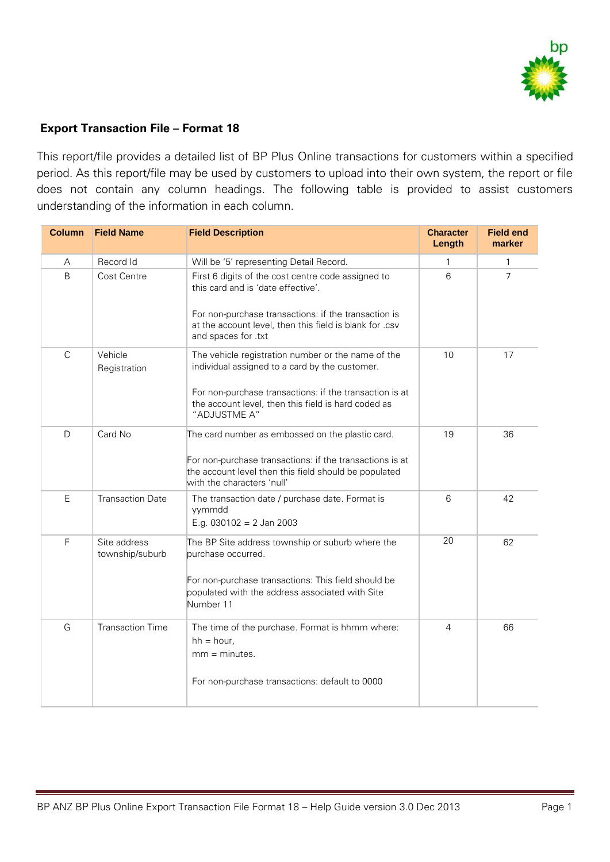

## **Export Transaction File – Format 18**

This report/file provides a detailed list of BP Plus Online transactions for customers within a specified period. As this report/file may be used by customers to upload into their own system, the report or file does not contain any column headings. The following table is provided to assist customers understanding of the information in each column.

| <b>Column</b> | <b>Field Name</b>               | <b>Field Description</b>                                                                                                                                                                                                               | <b>Character</b><br>Length | <b>Field end</b><br>marker |
|---------------|---------------------------------|----------------------------------------------------------------------------------------------------------------------------------------------------------------------------------------------------------------------------------------|----------------------------|----------------------------|
| A             | Record Id                       | Will be '5' representing Detail Record.                                                                                                                                                                                                | 1                          | 1                          |
| B             | Cost Centre                     | First 6 digits of the cost centre code assigned to<br>this card and is 'date effective'.<br>For non-purchase transactions: if the transaction is<br>at the account level, then this field is blank for .csv<br>and spaces for .txt     | 6                          | $\overline{7}$             |
| $\mathsf{C}$  | Vehicle<br>Registration         | The vehicle registration number or the name of the<br>individual assigned to a card by the customer.<br>For non-purchase transactions: if the transaction is at<br>the account level, then this field is hard coded as<br>"ADJUSTME A" | 10                         | 17                         |
| D             | Card No                         | The card number as embossed on the plastic card.<br>For non-purchase transactions: if the transactions is at<br>the account level then this field should be populated<br>with the characters 'null'                                    | 19                         | 36                         |
| F             | <b>Transaction Date</b>         | The transaction date / purchase date. Format is<br>yymmdd<br>E.g. $030102 = 2$ Jan 2003                                                                                                                                                | 6                          | 42                         |
| F             | Site address<br>township/suburb | The BP Site address township or suburb where the<br>burchase occurred.<br>For non-purchase transactions: This field should be<br>populated with the address associated with Site<br>Number 11                                          | 20                         | 62                         |
| G             | <b>Transaction Time</b>         | The time of the purchase. Format is hhmm where:<br>$hh = hour,$<br>$mm = minutes$ .<br>For non-purchase transactions: default to 0000                                                                                                  | $\overline{4}$             | 66                         |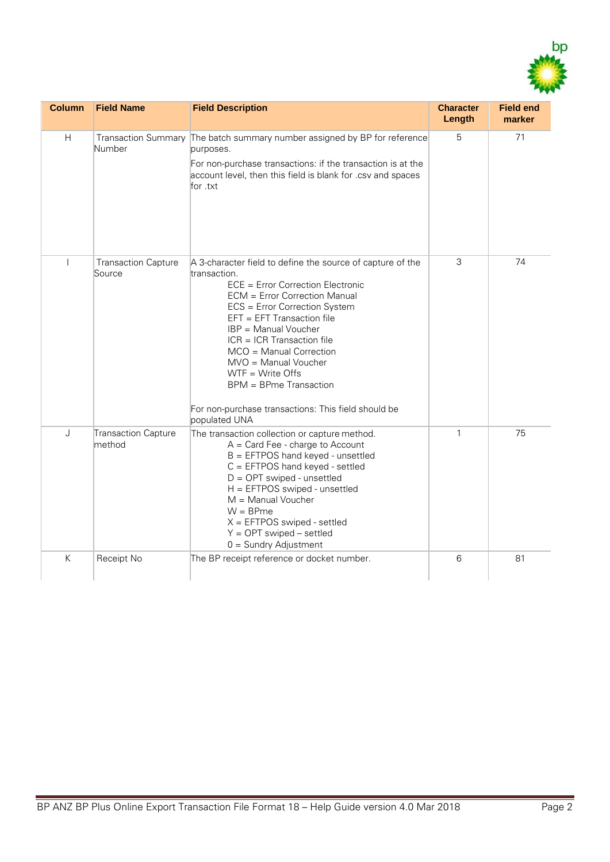

| <b>Column</b> | <b>Field Name</b>                    | <b>Field Description</b>                                                                                                                                                                                                                                                                                                                                                                                                                   | <b>Character</b><br>Length | <b>Field end</b><br>marker |
|---------------|--------------------------------------|--------------------------------------------------------------------------------------------------------------------------------------------------------------------------------------------------------------------------------------------------------------------------------------------------------------------------------------------------------------------------------------------------------------------------------------------|----------------------------|----------------------------|
| H             | <b>Transaction Summary</b><br>Number | The batch summary number assigned by BP for reference<br>purposes.<br>For non-purchase transactions: if the transaction is at the<br>account level, then this field is blank for .csv and spaces<br>for txt                                                                                                                                                                                                                                | 5                          | 71                         |
| $\mathbf{I}$  | <b>Transaction Capture</b><br>Source | A 3-character field to define the source of capture of the<br>transaction.<br>ECE = Error Correction Electronic<br>ECM = Error Correction Manual<br>ECS = Error Correction System<br>$EFT = EFT$ Transaction file<br>IBP = Manual Voucher<br>$ICR = ICR$ Transaction file<br>MCO = Manual Correction<br>MVO = Manual Voucher<br>$WTF = Write Offs$<br><b>BPM</b> = BPme Transaction<br>For non-purchase transactions: This field should be | 3                          | 74                         |
| J             | <b>Transaction Capture</b><br>method | populated UNA<br>The transaction collection or capture method.<br>$A = Card$ Fee - charge to Account<br>$B = EFTPOS$ hand keyed - unsettled<br>$C = EFTPOS$ hand keyed - settled<br>$D = OPT$ swiped - unsettled<br>H = EFTPOS swiped - unsettled<br>$M =$ Manual Voucher<br>$W = B Pme$<br>$X = EFTPOS$ swiped - settled<br>$Y = OPT$ swiped – settled<br>$0 =$ Sundry Adjustment                                                         | $\mathbf{1}$               | 75                         |
| К             | Receipt No                           | The BP receipt reference or docket number.                                                                                                                                                                                                                                                                                                                                                                                                 | 6                          | 81                         |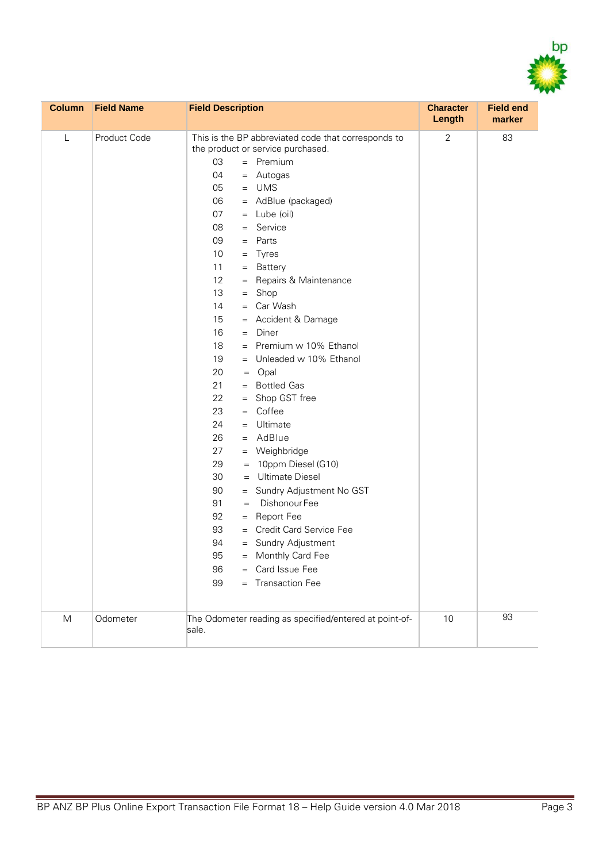

| <b>Column</b> | <b>Field Name</b> | <b>Field Description</b>                                                                                                                                                                                                                                                                                                                                                                                                                                                                                                                                                                                                                                                                                                                                                                                                                                                                                                                             | <b>Character</b><br>Length | <b>Field end</b><br>marker |
|---------------|-------------------|------------------------------------------------------------------------------------------------------------------------------------------------------------------------------------------------------------------------------------------------------------------------------------------------------------------------------------------------------------------------------------------------------------------------------------------------------------------------------------------------------------------------------------------------------------------------------------------------------------------------------------------------------------------------------------------------------------------------------------------------------------------------------------------------------------------------------------------------------------------------------------------------------------------------------------------------------|----------------------------|----------------------------|
| L             | Product Code      | This is the BP abbreviated code that corresponds to<br>the product or service purchased.<br>03<br>$=$ Premium<br>04<br>= Autogas<br>$=$ UMS<br>05<br>= AdBlue (packaged)<br>06<br>07<br>$=$ Lube (oil)<br>$=$ Service<br>08<br>09<br>$=$ Parts<br>10<br>$=$ Tyres<br>11<br>= Battery<br>12<br>= Repairs & Maintenance<br>13<br>$=$ Shop<br>= Car Wash<br>14<br>= Accident & Damage<br>15<br>16<br>$=$ Diner<br>18<br>$=$ Premium w 10% Ethanol<br>19<br>= Unleaded w 10% Ethanol<br>20<br>$=$ Opal<br>21<br>= Bottled Gas<br>22<br>Shop GST free<br>$=$<br>Coffee<br>23<br>$=$<br>24<br>$=$ Ultimate<br>$=$ AdBlue<br>26<br>27<br>= Weighbridge<br>29<br>$= 10$ ppm Diesel (G10)<br>= Ultimate Diesel<br>30<br>90<br>= Sundry Adjustment No GST<br>Dishonour Fee<br>91<br>$=$<br>92<br>= Report Fee<br>93<br>= Credit Card Service Fee<br>94<br>= Sundry Adjustment<br>95<br>= Monthly Card Fee<br>= Card Issue Fee<br>96<br>= Transaction Fee<br>99 | $\overline{2}$             | 83                         |
| M             | Odometer          | The Odometer reading as specified/entered at point-of-<br>sale.                                                                                                                                                                                                                                                                                                                                                                                                                                                                                                                                                                                                                                                                                                                                                                                                                                                                                      | 10                         | 93                         |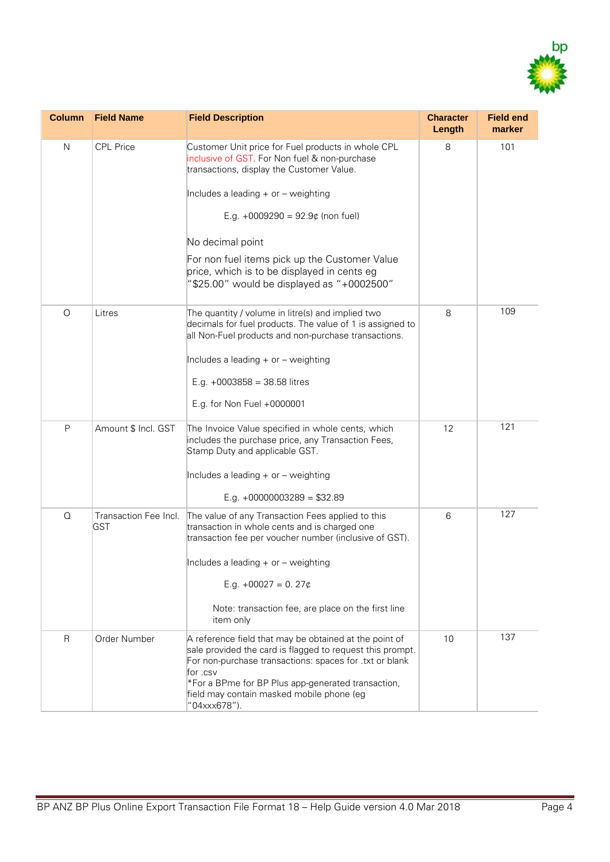

| <b>Column</b> | <b>Field Name</b>                   | <b>Field Description</b>                                                                                                                                                                                                                                                                                      | <b>Character</b><br>Length | <b>Field end</b><br>marker |
|---------------|-------------------------------------|---------------------------------------------------------------------------------------------------------------------------------------------------------------------------------------------------------------------------------------------------------------------------------------------------------------|----------------------------|----------------------------|
| N             | <b>CPL Price</b>                    | Customer Unit price for Fuel products in whole CPL<br>inclusive of GST. For Non fuel & non-purchase<br>transactions, display the Customer Value.                                                                                                                                                              | 8                          | 101                        |
|               |                                     | Includes a leading + or - weighting                                                                                                                                                                                                                                                                           |                            |                            |
|               |                                     | E.g. $+0009290 = 92.9¢$ (non fuel)                                                                                                                                                                                                                                                                            |                            |                            |
|               |                                     | No decimal point                                                                                                                                                                                                                                                                                              |                            |                            |
|               |                                     | For non fuel items pick up the Customer Value<br>price, which is to be displayed in cents eg<br>"\$25.00" would be displayed as "+0002500"                                                                                                                                                                    |                            |                            |
| O             | Litres                              | The quantity / volume in litre(s) and implied two<br>decimals for fuel products. The value of 1 is assigned to<br>all Non-Fuel products and non-purchase transactions.                                                                                                                                        | 8                          | 109                        |
|               |                                     | Includes a leading + or - weighting                                                                                                                                                                                                                                                                           |                            |                            |
|               |                                     | E.g. $+0003858 = 38.58$ litres                                                                                                                                                                                                                                                                                |                            |                            |
|               |                                     | E.g. for Non Fuel +0000001                                                                                                                                                                                                                                                                                    |                            |                            |
| P             | Amount \$ Incl. GST                 | The Invoice Value specified in whole cents, which<br>includes the purchase price, any Transaction Fees,<br>Stamp Duty and applicable GST.                                                                                                                                                                     | 12                         | 121                        |
|               |                                     | Includes a leading + or - weighting                                                                                                                                                                                                                                                                           |                            |                            |
|               |                                     | E.g. $+00000003289 = $32.89$                                                                                                                                                                                                                                                                                  |                            |                            |
| Q             | Transaction Fee Incl.<br><b>GST</b> | The value of any Transaction Fees applied to this<br>transaction in whole cents and is charged one<br>transaction fee per voucher number (inclusive of GST).                                                                                                                                                  | 6                          | 127                        |
|               |                                     | Includes a leading $+$ or $-$ weighting                                                                                                                                                                                                                                                                       |                            |                            |
|               |                                     | E.g. $+00027 = 0.27¢$                                                                                                                                                                                                                                                                                         |                            |                            |
|               |                                     | Note: transaction fee, are place on the first line<br>item only                                                                                                                                                                                                                                               |                            |                            |
| $\mathsf R$   | Order Number                        | A reference field that may be obtained at the point of<br>sale provided the card is flagged to request this prompt.<br>For non-purchase transactions: spaces for .txt or blank<br>for .csv<br>*For a BPme for BP Plus app-generated transaction,<br>field may contain masked mobile phone (eg<br>"04xxx678"). | 10                         | 137                        |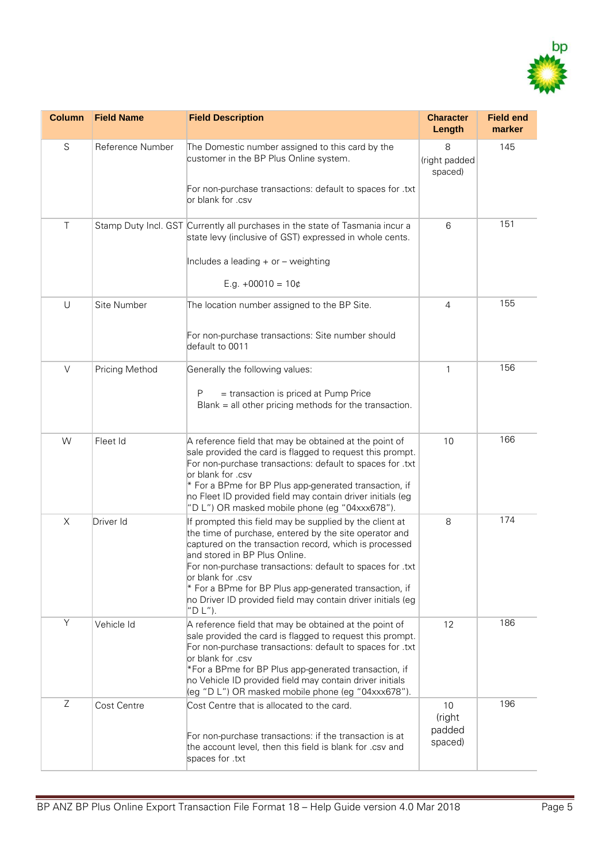

| <b>Column</b> | <b>Field Name</b> | <b>Field Description</b>                                                                                                                                                                                                                                                                                                                                                                                                          | <b>Character</b><br>Length        | <b>Field end</b><br>marker |
|---------------|-------------------|-----------------------------------------------------------------------------------------------------------------------------------------------------------------------------------------------------------------------------------------------------------------------------------------------------------------------------------------------------------------------------------------------------------------------------------|-----------------------------------|----------------------------|
| S             | Reference Number  | The Domestic number assigned to this card by the<br>customer in the BP Plus Online system.                                                                                                                                                                                                                                                                                                                                        | 8<br>(right padded<br>spaced)     | 145                        |
|               |                   | For non-purchase transactions: default to spaces for .txt<br>or blank for .csv                                                                                                                                                                                                                                                                                                                                                    |                                   |                            |
| $\top$        |                   | Stamp Duty Incl. GST Currently all purchases in the state of Tasmania incur a<br>state levy (inclusive of GST) expressed in whole cents.                                                                                                                                                                                                                                                                                          | 6                                 | 151                        |
|               |                   | Includes a leading + or - weighting                                                                                                                                                                                                                                                                                                                                                                                               |                                   |                            |
|               |                   | E.g. $+00010 = 10¢$                                                                                                                                                                                                                                                                                                                                                                                                               |                                   |                            |
| U             | Site Number       | The location number assigned to the BP Site.                                                                                                                                                                                                                                                                                                                                                                                      | $\overline{4}$                    | 155                        |
|               |                   | For non-purchase transactions: Site number should<br>default to 0011                                                                                                                                                                                                                                                                                                                                                              |                                   |                            |
| $\vee$        | Pricing Method    | Generally the following values:                                                                                                                                                                                                                                                                                                                                                                                                   | 1                                 | 156                        |
|               |                   | = transaction is priced at Pump Price<br>P<br>Blank = all other pricing methods for the transaction.                                                                                                                                                                                                                                                                                                                              |                                   |                            |
| W             | Fleet Id          | A reference field that may be obtained at the point of<br>sale provided the card is flagged to request this prompt.<br>For non-purchase transactions: default to spaces for .txt<br>or blank for .csv<br>* For a BPme for BP Plus app-generated transaction, if<br>no Fleet ID provided field may contain driver initials (eg<br>"D L") OR masked mobile phone (eg "04xxx678").                                                   | 10                                | 166                        |
| X             | Driver Id         | If prompted this field may be supplied by the client at<br>the time of purchase, entered by the site operator and<br>captured on the transaction record, which is processed<br>and stored in BP Plus Online.<br>For non-purchase transactions: default to spaces for .txt<br>or blank for .csv<br>* For a BPme for BP Plus app-generated transaction, if<br>no Driver ID provided field may contain driver initials (eg<br>"DL"). | 8                                 | 174                        |
| Y             | Vehicle Id        | A reference field that may be obtained at the point of<br>sale provided the card is flagged to request this prompt.<br>For non-purchase transactions: default to spaces for .txt<br>or blank for .csv<br>*For a BPme for BP Plus app-generated transaction, if<br>no Vehicle ID provided field may contain driver initials<br>(eg "D L") OR masked mobile phone (eg "04xxx678").                                                  | 12                                | 186                        |
| $\mathsf Z$   | Cost Centre       | Cost Centre that is allocated to the card.<br>For non-purchase transactions: if the transaction is at<br>the account level, then this field is blank for .csv and<br>spaces for .txt                                                                                                                                                                                                                                              | 10<br>(right<br>padded<br>spaced) | 196                        |